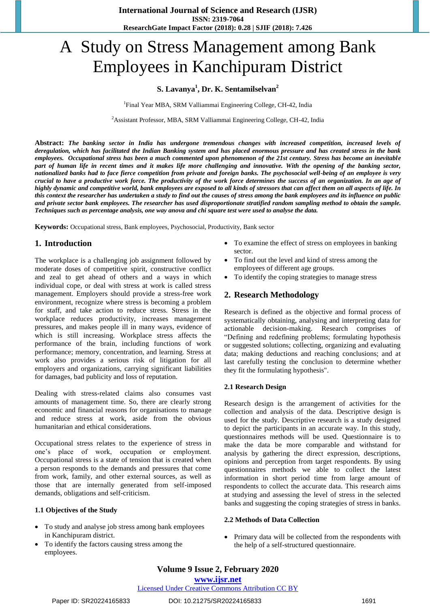# A Study on Stress Management among Bank Employees in Kanchipuram District

## **S. Lavanya<sup>1</sup> , Dr. K. Sentamilselvan<sup>2</sup>**

<sup>1</sup>Final Year MBA, SRM Valliammai Engineering College, CH-42, India

<sup>2</sup>Assistant Professor, MBA, SRM Valliammai Engineering College, CH-42, India

**Abstract:** *The banking sector in India has undergone tremendous changes with increased competition, increased levels of deregulation, which has facilitated the Indian Banking system and has placed enormous pressure and has created stress in the bank employees. Occupational stress has been a much commented upon phenomenon of the 21st century. Stress has become an inevitable part of human life in recent times and it makes life more challenging and innovative. With the opening of the banking sector, nationalized banks had to face fierce competition from private and foreign banks. The psychosocial well-being of an employee is very crucial to have a productive work force. The productivity of the work force determines the success of an organization. In an age of highly dynamic and competitive world, bank employees are exposed to all kinds of stressors that can affect them on all aspects of life. In this context the researcher has undertaken a study to find out the causes of stress among the bank employees and its influence on public and private sector bank employees. The researcher has used disproportionate stratified random sampling method to obtain the sample. Techniques such as percentage analysis, one way anova and chi square test were used to analyse the data.*

**Keywords:** Occupational stress, Bank employees, Psychosocial, Productivity, Bank sector

## **1. Introduction**

The workplace is a challenging job assignment followed by moderate doses of competitive spirit, constructive conflict and zeal to get ahead of others and a ways in which individual cope, or deal with stress at work is called stress management. Employers should provide a stress-free work environment, recognize where stress is becoming a problem for staff, and take action to reduce stress. Stress in the workplace reduces productivity, increases management pressures, and makes people ill in many ways, evidence of which is still increasing. Workplace stress affects the performance of the brain, including functions of work performance; memory, concentration, and learning. Stress at work also provides a serious risk of litigation for all employers and organizations, carrying significant liabilities for damages, bad publicity and loss of reputation.

Dealing with stress-related claims also consumes vast amounts of management time. So, there are clearly strong economic and financial reasons for organisations to manage and reduce stress at work, aside from the obvious humanitarian and ethical considerations.

Occupational stress relates to the experience of stress in one's place of work, occupation or employment. Occupational stress is a state of tension that is created when a person responds to the demands and pressures that come from work, family, and other external sources, as well as those that are internally generated from self-imposed demands, obligations and self-criticism.

#### **1.1 Objectives of the Study**

- To study and analyse job stress among bank employees in Kanchipuram district.
- To identify the factors causing stress among the employees.
- To examine the effect of stress on employees in banking sector.
- To find out the level and kind of stress among the employees of different age groups.
- To identify the coping strategies to manage stress

#### **2. Research Methodology**

Research is defined as the objective and formal process of systematically obtaining, analysing and interpreting data for actionable decision-making. Research comprises of "Defining and redefining problems; formulating hypothesis or suggested solutions; collecting, organizing and evaluating data; making deductions and reaching conclusions; and at last carefully testing the conclusion to determine whether they fit the formulating hypothesis".

#### **2.1 Research Design**

Research design is the arrangement of activities for the collection and analysis of the data. Descriptive design is used for the study. Descriptive research is a study designed to depict the participants in an accurate way. In this study, questionnaires methods will be used. Questionnaire is to make the data be more comparable and withstand for analysis by gathering the direct expression, descriptions, opinions and perception from target respondents. By using questionnaires methods we able to collect the latest information in short period time from large amount of respondents to collect the accurate data. This research aims at studying and assessing the level of stress in the selected banks and suggesting the coping strategies of stress in banks.

#### **2.2 Methods of Data Collection**

 Primary data will be collected from the respondents with the help of a self-structured questionnaire.

# **Volume 9 Issue 2, February 2020**

#### **www.ijsr.net**

# Licensed Under Creative Commons Attribution CC BY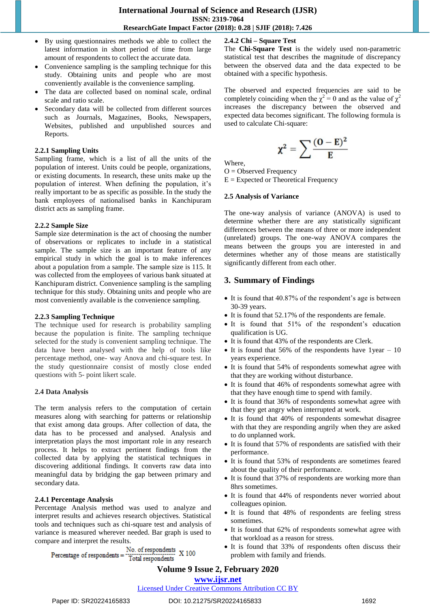- By using questionnaires methods we able to collect the latest information in short period of time from large amount of respondents to collect the accurate data.
- Convenience sampling is the sampling technique for this study. Obtaining units and people who are most conveniently available is the convenience sampling.
- The data are collected based on nominal scale, ordinal scale and ratio scale.
- Secondary data will be collected from different sources such as Journals, Magazines, Books, Newspapers, Websites, published and unpublished sources and Reports.

#### **2.2.1 Sampling Units**

Sampling frame, which is a list of all the units of the population of interest. Units could be people, organizations, or existing documents. In research, these units make up the population of interest. When defining the population, it's really important to be as specific as possible. In the study the bank employees of nationalised banks in Kanchipuram district acts as sampling frame.

## **2.2.2 Sample Size**

Sample size determination is the act of choosing the number of observations or replicates to include in a statistical sample. The sample size is an important feature of any empirical study in which the goal is to make inferences about a population from a sample. The sample size is 115. It was collected from the employees of various bank situated at Kanchipuram district. Convenience sampling is the sampling technique for this study. Obtaining units and people who are most conveniently available is the convenience sampling.

#### **2.2.3 Sampling Technique**

The technique used for research is probability sampling because the population is finite. The sampling technique selected for the study is convenient sampling technique. The data have been analysed with the help of tools like percentage method, one- way Anova and chi-square test. In the study questionnaire consist of mostly close ended questions with 5- point likert scale.

#### **2.4 Data Analysis**

The term analysis refers to the computation of certain measures along with searching for patterns or relationship that exist among data groups. After collection of data, the data has to be processed and analysed. Analysis and interpretation plays the most important role in any research process. It helps to extract pertinent findings from the collected data by applying the statistical techniques in discovering additional findings. It converts raw data into meaningful data by bridging the gap between primary and secondary data.

#### **2.4.1 Percentage Analysis**

Percentage Analysis method was used to analyze and interpret results and achieves research objectives. Statistical tools and techniques such as chi-square test and analysis of variance is measured wherever needed. Bar graph is used to compare and interpret the results.

No. of respondents Percentage of respondents = No. of respondents<br>Total respondents X 100

## **2.4.2 Chi – Square Test**

The **Chi-Square Test** is the widely used non-parametric statistical test that describes the magnitude of discrepancy between the observed data and the data expected to be obtained with a specific hypothesis.

The observed and expected frequencies are said to be completely coinciding when the  $\chi^2 = 0$  and as the value of  $\chi^2$ increases the discrepancy between the observed and expected data becomes significant. The following formula is used to calculate Chi-square:

$$
\chi^2 = \sum \frac{(O - E)^2}{E}
$$

Where,

 $O = Observed Frequency$ 

 $E =$  Expected or Theoretical Frequency

#### **2.5 Analysis of Variance**

The one-way analysis of variance (ANOVA) is used to determine whether there are any statistically significant differences between the means of three or more independent (unrelated) groups. The one-way ANOVA compares the means between the groups you are interested in and determines whether any of those means are statistically significantly different from each other.

## **3. Summary of Findings**

- It is found that 40.87% of the respondent's age is between 30-39 years.
- It is found that 52.17% of the respondents are female.
- It is found that 51% of the respondent's education qualification is UG.
- It is found that 43% of the respondents are Clerk.
- $\bullet$  It is found that 56% of the respondents have 1year 10 years experience.
- It is found that 54% of respondents somewhat agree with that they are working without disturbance.
- It is found that 46% of respondents somewhat agree with that they have enough time to spend with family.
- It is found that 36% of respondents somewhat agree with that they get angry when interrupted at work.
- It is found that 40% of respondents somewhat disagree with that they are responding angrily when they are asked to do unplanned work.
- It is found that 57% of respondents are satisfied with their performance.
- It is found that 53% of respondents are sometimes feared about the quality of their performance.
- It is found that 37% of respondents are working more than 8hrs sometimes.
- It is found that 44% of respondents never worried about colleagues opinion.
- It is found that 48% of respondents are feeling stress sometimes.
- It is found that 62% of respondents somewhat agree with that workload as a reason for stress.
- It is found that 33% of respondents often discuss their problem with family and friends.

# **Volume 9 Issue 2, February 2020**

## **www.ijsr.net**

#### Licensed Under Creative Commons Attribution CC BY